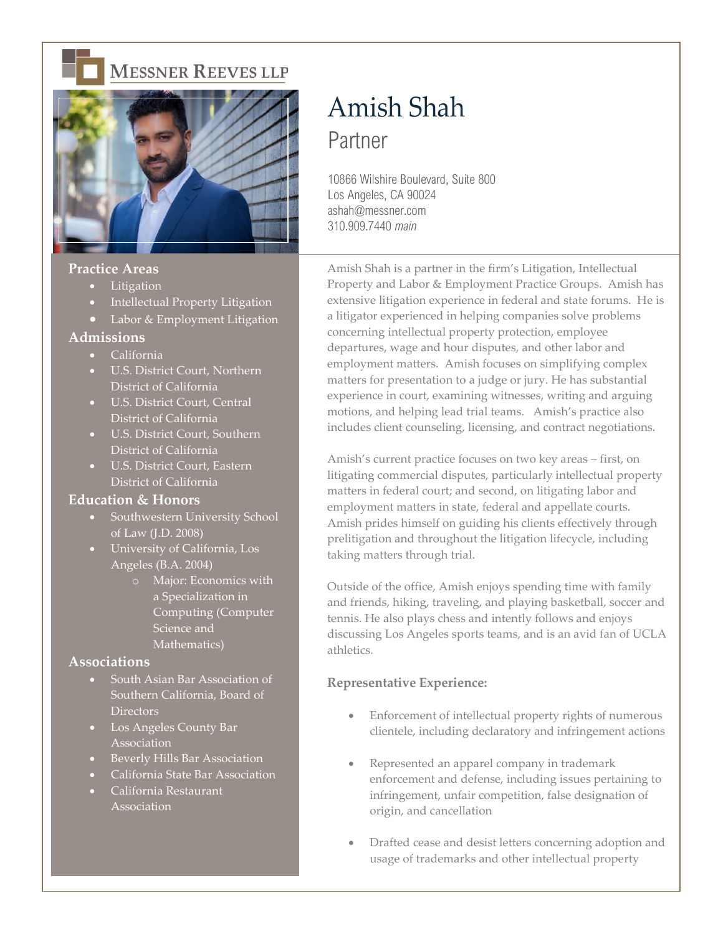

# **MESSNER REEVES LLP**



## **Practice Areas**

- Litigation
- Intellectual Property Litigation
- Labor & Employment Litigation

#### **Admissions**

- California
- U.S. District Court, Northern District of California
- U.S. District Court, Central District of California
- U.S. District Court, Southern District of California
- U.S. District Court, Eastern District of California

### **Education & Honors**

- Southwestern University School of Law (J.D. 2008)
- University of California, Los Angeles (B.A. 2004)
	- o Major: Economics with a Specialization in Computing (Computer Science and Mathematics)

### **Associations**

- South Asian Bar Association of Southern California, Board of **Directors**
- Los Angeles County Bar Association
- Beverly Hills Bar Association
- California State Bar Association
- California Restaurant Association

# Amish Shah Partner

10866 Wilshire Boulevard, Suite 800 Los Angeles, CA 90024 ashah@messner.com 310.909.7440 *main*

Amish Shah is a partner in the firm's Litigation, Intellectual Property and Labor & Employment Practice Groups. Amish has extensive litigation experience in federal and state forums. He is a litigator experienced in helping companies solve problems concerning intellectual property protection, employee departures, wage and hour disputes, and other labor and employment matters. Amish focuses on simplifying complex matters for presentation to a judge or jury. He has substantial experience in court, examining witnesses, writing and arguing motions, and helping lead trial teams. Amish's practice also includes client counseling, licensing, and contract negotiations.

Amish's current practice focuses on two key areas – first, on litigating commercial disputes, particularly intellectual property matters in federal court; and second, on litigating labor and employment matters in state, federal and appellate courts. Amish prides himself on guiding his clients effectively through prelitigation and throughout the litigation lifecycle, including taking matters through trial.

Outside of the office, Amish enjoys spending time with family and friends, hiking, traveling, and playing basketball, soccer and tennis. He also plays chess and intently follows and enjoys discussing Los Angeles sports teams, and is an avid fan of UCLA athletics.

#### **Representative Experience:**

- Enforcement of intellectual property rights of numerous clientele, including declaratory and infringement actions
- Represented an apparel company in trademark enforcement and defense, including issues pertaining to infringement, unfair competition, false designation of origin, and cancellation
- Drafted cease and desist letters concerning adoption and usage of trademarks and other intellectual property